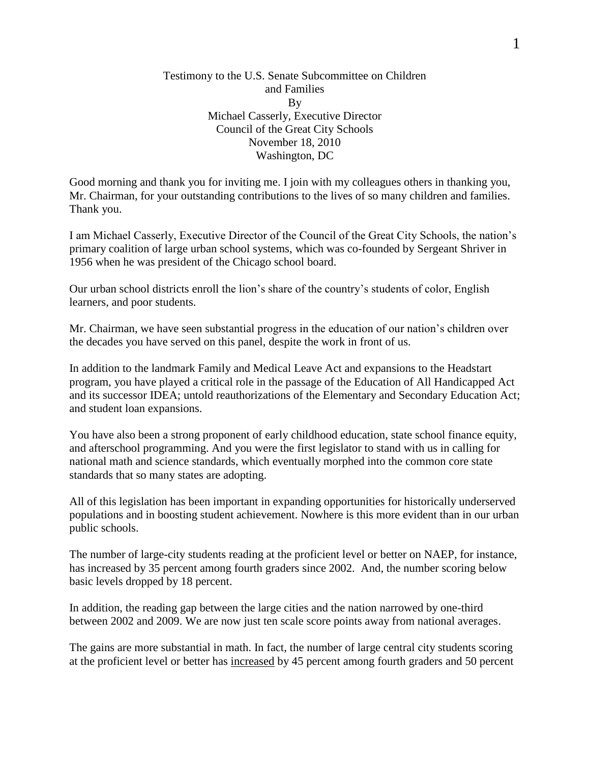## Testimony to the U.S. Senate Subcommittee on Children and Families By Michael Casserly, Executive Director Council of the Great City Schools November 18, 2010 Washington, DC

Good morning and thank you for inviting me. I join with my colleagues others in thanking you, Mr. Chairman, for your outstanding contributions to the lives of so many children and families. Thank you.

I am Michael Casserly, Executive Director of the Council of the Great City Schools, the nation's primary coalition of large urban school systems, which was co-founded by Sergeant Shriver in 1956 when he was president of the Chicago school board.

Our urban school districts enroll the lion's share of the country's students of color, English learners, and poor students.

Mr. Chairman, we have seen substantial progress in the education of our nation's children over the decades you have served on this panel, despite the work in front of us.

In addition to the landmark Family and Medical Leave Act and expansions to the Headstart program, you have played a critical role in the passage of the Education of All Handicapped Act and its successor IDEA; untold reauthorizations of the Elementary and Secondary Education Act; and student loan expansions.

You have also been a strong proponent of early childhood education, state school finance equity, and afterschool programming. And you were the first legislator to stand with us in calling for national math and science standards, which eventually morphed into the common core state standards that so many states are adopting.

All of this legislation has been important in expanding opportunities for historically underserved populations and in boosting student achievement. Nowhere is this more evident than in our urban public schools.

The number of large-city students reading at the proficient level or better on NAEP, for instance, has increased by 35 percent among fourth graders since 2002. And, the number scoring below basic levels dropped by 18 percent.

In addition, the reading gap between the large cities and the nation narrowed by one-third between 2002 and 2009. We are now just ten scale score points away from national averages.

The gains are more substantial in math. In fact, the number of large central city students scoring at the proficient level or better has increased by 45 percent among fourth graders and 50 percent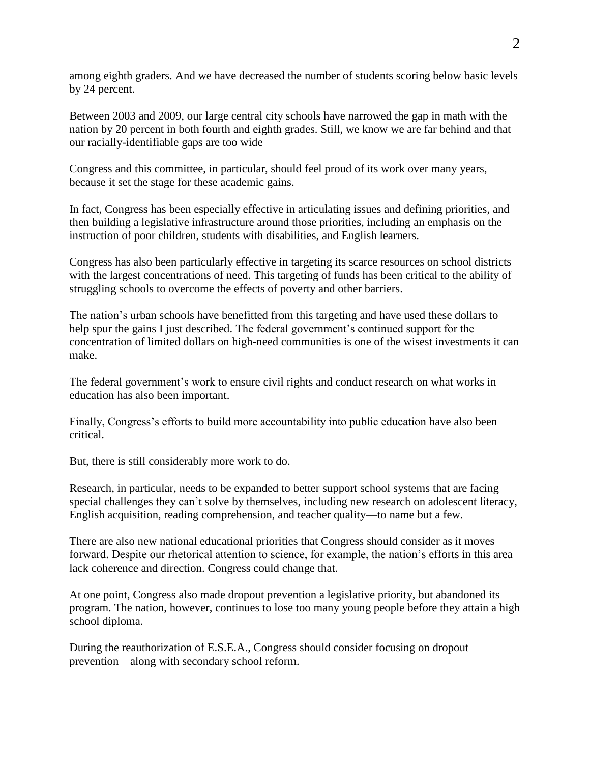among eighth graders. And we have decreased the number of students scoring below basic levels by 24 percent.

Between 2003 and 2009, our large central city schools have narrowed the gap in math with the nation by 20 percent in both fourth and eighth grades. Still, we know we are far behind and that our racially-identifiable gaps are too wide

Congress and this committee, in particular, should feel proud of its work over many years, because it set the stage for these academic gains.

In fact, Congress has been especially effective in articulating issues and defining priorities, and then building a legislative infrastructure around those priorities, including an emphasis on the instruction of poor children, students with disabilities, and English learners.

Congress has also been particularly effective in targeting its scarce resources on school districts with the largest concentrations of need. This targeting of funds has been critical to the ability of struggling schools to overcome the effects of poverty and other barriers.

The nation's urban schools have benefitted from this targeting and have used these dollars to help spur the gains I just described. The federal government's continued support for the concentration of limited dollars on high-need communities is one of the wisest investments it can make.

The federal government's work to ensure civil rights and conduct research on what works in education has also been important.

Finally, Congress's efforts to build more accountability into public education have also been critical.

But, there is still considerably more work to do.

Research, in particular, needs to be expanded to better support school systems that are facing special challenges they can't solve by themselves, including new research on adolescent literacy, English acquisition, reading comprehension, and teacher quality—to name but a few.

There are also new national educational priorities that Congress should consider as it moves forward. Despite our rhetorical attention to science, for example, the nation's efforts in this area lack coherence and direction. Congress could change that.

At one point, Congress also made dropout prevention a legislative priority, but abandoned its program. The nation, however, continues to lose too many young people before they attain a high school diploma.

During the reauthorization of E.S.E.A., Congress should consider focusing on dropout prevention—along with secondary school reform.